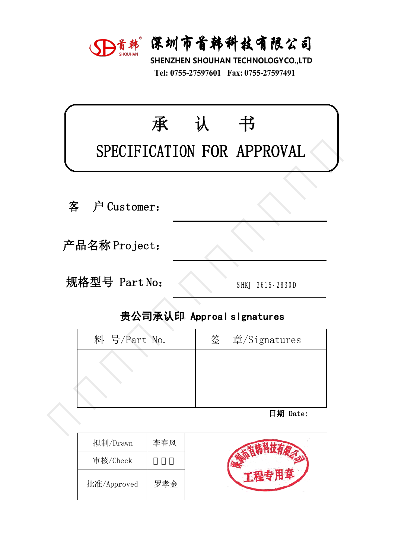

深圳市首韩科技有限公司<br>SHENZHEN SHOUHAN TECHNOLOGYCO.,LTD<br>Tel: 0755-27597601 Fax: 0755-27597491 **宋圳市首韩科技有限公司**<br>HENZHEN SHOUHAN TECHNOLOGYCO.,LTD<br>Tel: 0755-27597601 Fax: 0755-27597491

|               |                                 |   | D首韩 深圳市首韩科技有限公司<br>SHENZHEN SHOUHAN TECHNOLOGYCO.,LTD<br>Tel: 0755-27597601 Fax: 0755-27597491 |  |  |  |
|---------------|---------------------------------|---|------------------------------------------------------------------------------------------------|--|--|--|
|               | 承<br>SPECIFICATION FOR APPROVAL | 认 | 书                                                                                              |  |  |  |
| 客             | 户 Customer:                     |   |                                                                                                |  |  |  |
| 产品名称 Project: |                                 |   |                                                                                                |  |  |  |
|               | 规格型号 Part No:                   |   |                                                                                                |  |  |  |
|               |                                 |   | 贵公司承认印 Approal slgnatures                                                                      |  |  |  |
|               | 料 号/Part No.                    | 签 | 章/Signatures                                                                                   |  |  |  |
|               |                                 |   |                                                                                                |  |  |  |
|               |                                 |   | 日期 Date:                                                                                       |  |  |  |
|               |                                 |   |                                                                                                |  |  |  |

| ‼硲型号 Part No: | SHKJ 3615-2830D           |
|---------------|---------------------------|
|               | 贵公司承认印 Approal slgnatures |
| 料 号/Part No.  | 签 章/Signatures            |
|               |                           |
|               |                           |
|               |                           |
|               | 日期 Date:                  |
|               |                           |

| 拟制/Drawn    | 李春风 |  |
|-------------|-----|--|
| 审核/Check    |     |  |
| 批准/Approved | 罗孝金 |  |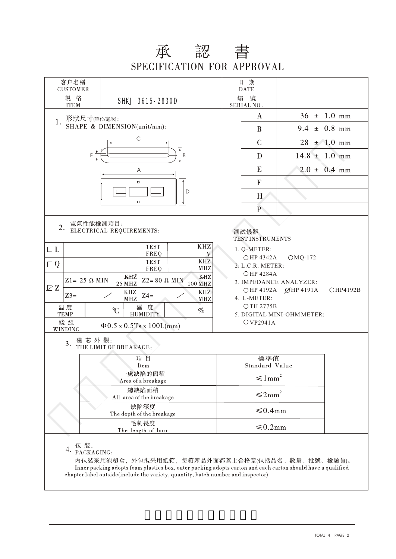## 承 認 書<br>SPECIFICATION FOR APPROVAL

| 客户名稱<br><b>CUSTOMER</b>                                                                                                                                                                                                                                                      |                                                                                                                                                             |                                                                                                                                                                                                                                                     | 日期<br><b>DATE</b>    |                   |                         |  |  |  |
|------------------------------------------------------------------------------------------------------------------------------------------------------------------------------------------------------------------------------------------------------------------------------|-------------------------------------------------------------------------------------------------------------------------------------------------------------|-----------------------------------------------------------------------------------------------------------------------------------------------------------------------------------------------------------------------------------------------------|----------------------|-------------------|-------------------------|--|--|--|
| 規 格<br>SHKJ 3615-2830D<br><b>ITEM</b>                                                                                                                                                                                                                                        |                                                                                                                                                             |                                                                                                                                                                                                                                                     | 編<br>號<br>SERIAL NO. |                   |                         |  |  |  |
| 形狀尺寸(單位/毫米):<br>1.                                                                                                                                                                                                                                                           |                                                                                                                                                             |                                                                                                                                                                                                                                                     | $\bf{A}$             |                   | $36 \pm 1.0 \text{ mm}$ |  |  |  |
|                                                                                                                                                                                                                                                                              | SHAPE & DIMENSION(unit/mm):                                                                                                                                 |                                                                                                                                                                                                                                                     | B                    | $9.4 \pm 0.8$ mm  |                         |  |  |  |
|                                                                                                                                                                                                                                                                              | $\mathsf{C}$                                                                                                                                                |                                                                                                                                                                                                                                                     | $\mathcal{C}$        |                   | $28 \pm 1.0 \text{ mm}$ |  |  |  |
|                                                                                                                                                                                                                                                                              | B                                                                                                                                                           |                                                                                                                                                                                                                                                     | D                    | $14.8 \pm 1.0$ mm |                         |  |  |  |
|                                                                                                                                                                                                                                                                              | Α                                                                                                                                                           |                                                                                                                                                                                                                                                     | ${\bf E}$            |                   | $2.0 \pm 0.4$ mm        |  |  |  |
|                                                                                                                                                                                                                                                                              | $\Box$                                                                                                                                                      |                                                                                                                                                                                                                                                     | F                    |                   |                         |  |  |  |
|                                                                                                                                                                                                                                                                              | D<br>$\Box$                                                                                                                                                 |                                                                                                                                                                                                                                                     | H                    |                   |                         |  |  |  |
|                                                                                                                                                                                                                                                                              |                                                                                                                                                             |                                                                                                                                                                                                                                                     | $\mathbf{P}$         |                   |                         |  |  |  |
| 電氣性能檢測項目:<br>2.<br>$\Box$ L<br>$\Box Q$<br>$Z1 = 25 \Omega$ MIN                                                                                                                                                                                                              | ELECTRICAL REQUIREMENTS:<br><b>KHZ</b><br><b>TEST</b><br>FREQ<br>V<br><b>KHZ</b><br><b>TEST</b><br><b>MHZ</b><br>FREQ<br>KHZ<br>KHZ<br>$Z2 = 80 \Omega$ MIN | 測試儀器<br><b>TEST INSTRUMENTS</b><br>1. Q-METER:<br>OHP 4342A<br>$OMQ-172$<br>2. L.C.R. METER:<br><b>OHP 4284A</b><br>3. IMPEDANCE ANALYZER:<br>○HP 4192A ØHP 4191A<br>OHP4192B<br>4. L-METER:<br>OTH 2775B<br>5. DIGITAL MINI-OHM METER:<br>OVP2941A |                      |                   |                         |  |  |  |
| ZZ<br>$Z3=$<br>温度<br><b>TEMP</b><br>綫組<br>WINDING                                                                                                                                                                                                                            | 100 MHZ<br><b>25 MHZ</b><br><b>KHZ</b><br>KHZ<br>$Z4=$<br>MHZ<br>MHZ<br>濕 度<br>C<br>$\%$<br><b>HUMIDITY</b><br>$\Phi$ 0.5 x 0.5 Ts x 100L(mm)               |                                                                                                                                                                                                                                                     |                      |                   |                         |  |  |  |
| 磁芯外觀:<br>3.                                                                                                                                                                                                                                                                  | THE LIMIT OF BREAKAGE:                                                                                                                                      |                                                                                                                                                                                                                                                     |                      |                   |                         |  |  |  |
|                                                                                                                                                                                                                                                                              | 項目<br>Item                                                                                                                                                  | 標準值<br>Standard Value                                                                                                                                                                                                                               |                      |                   |                         |  |  |  |
|                                                                                                                                                                                                                                                                              | 一處缺陷的面積                                                                                                                                                     | $\leq 1$ mm <sup>2</sup>                                                                                                                                                                                                                            |                      |                   |                         |  |  |  |
|                                                                                                                                                                                                                                                                              | Area of a breakage<br>總缺陷面積<br>All area of the breakage                                                                                                     | $\leq 2mm^2$                                                                                                                                                                                                                                        |                      |                   |                         |  |  |  |
|                                                                                                                                                                                                                                                                              | 缺陷深度<br>The depth of the breakage                                                                                                                           | ≤0.4mm                                                                                                                                                                                                                                              |                      |                   |                         |  |  |  |
|                                                                                                                                                                                                                                                                              | 毛刺長度<br>The length of burr                                                                                                                                  | ≤0.2mm                                                                                                                                                                                                                                              |                      |                   |                         |  |  |  |
| 4. 包装:<br>PACKAGING:<br>内包裝采用泡塑盒, 外包裝采用紙箱, 每箱産品外面都蓋上合格章(包括品名、數量、批號、檢驗員)。<br>Inner packing adopts foam plastics box, outer packing adopts carton and each carton should have a qualified<br>chapter label outside(include the variety, quantity, batch number and inspector). |                                                                                                                                                             |                                                                                                                                                                                                                                                     |                      |                   |                         |  |  |  |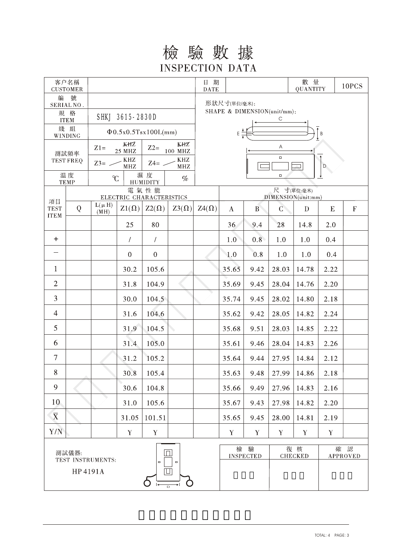## 檢驗數據 **INSPECTION DATA**

| 客户名稱<br><b>CUSTOMER</b>                                                        |                                                                    |                                                          |              |              |                                  | 日期<br>$\mathbf{DATE}$                 |                       |              |                      | 數 量<br>QUANTITY |                        | 10PCS                     |  |
|--------------------------------------------------------------------------------|--------------------------------------------------------------------|----------------------------------------------------------|--------------|--------------|----------------------------------|---------------------------------------|-----------------------|--------------|----------------------|-----------------|------------------------|---------------------------|--|
| 號<br>編<br>SERIAL NO.                                                           |                                                                    |                                                          |              |              |                                  | 形狀尺寸(單位/毫米):                          |                       |              |                      |                 |                        |                           |  |
| 規 格<br><b>ITEM</b>                                                             |                                                                    | SHKJ 3615-2830D                                          |              |              |                                  | SHAPE & DIMENSION(unit/mm):           |                       |              |                      |                 |                        |                           |  |
| 綫 組<br>WINDING                                                                 |                                                                    | $\Phi$ 0.5x0.5Tsx100L(mm)                                |              |              |                                  | $\overline{1}_B$<br>$E^{\frac{3}{2}}$ |                       |              |                      |                 |                        |                           |  |
|                                                                                |                                                                    | KHZ<br>KHZ<br>$Z2=$<br>$Z1=$<br>100 MHZ<br><b>25 MHZ</b> |              |              | Α                                |                                       |                       |              |                      |                 |                        |                           |  |
| 測試頻率<br><b>TEST FREQ</b>                                                       |                                                                    | $Z3=$ -                                                  | KHZ<br>MHZ   | $Z4=$        | KHZ<br>$\operatorname{MHz}$      |                                       | $\Box$<br>D           |              |                      |                 |                        |                           |  |
| 温度                                                                             |                                                                    | C                                                        |              | 濕度           | $\%$                             |                                       | $\Box$                |              |                      |                 |                        |                           |  |
|                                                                                | <b>HUMIDITY</b><br><b>TEMP</b><br>電氣性能<br>ELECTRIC CHARACTERISTICS |                                                          |              |              | 尺 寸(單位:毫米)<br>DIMENSION(unit:mm) |                                       |                       |              |                      |                 |                        |                           |  |
| 項目<br><b>TEST</b>                                                              | Q                                                                  | $L(\mu H)$<br>(MH)                                       | $Z1(\Omega)$ | $Z2(\Omega)$ | $Z3(\Omega)$                     | $Z4(\Omega)$                          | $\bf{A}$              | $\mathbf{B}$ | $\mathsf{C}$         | $\mathbf{D}$    | ${\bf E}$              | $\boldsymbol{\mathrm{F}}$ |  |
| <b>ITEM</b>                                                                    |                                                                    |                                                          | 25           | 80           |                                  |                                       | 36                    | 9.4          | 28                   | 14.8            | 2.0                    |                           |  |
| $+$                                                                            |                                                                    |                                                          | $\sqrt{2}$   | $\sqrt{ }$   |                                  |                                       | 1.0                   | 0.8          | 1.0                  | 1.0             | 0.4                    |                           |  |
|                                                                                |                                                                    |                                                          | $\mathbf{0}$ | $\mathbf{0}$ |                                  |                                       | 1.0                   | 0.8          | 1.0                  | 1.0             | 0.4                    |                           |  |
| $\mathbf{1}$                                                                   |                                                                    |                                                          | 30.2         | 105.6        |                                  |                                       | 35.65                 | 9.42         | 28.03                | 14.78           | 2.22                   |                           |  |
| $\overline{2}$                                                                 |                                                                    |                                                          | 31.8         | 104.9        |                                  |                                       | 35.69                 | 9.45         | 28.04                | 14.76           | 2.20                   |                           |  |
| 3                                                                              |                                                                    |                                                          | 30.0         | 104.5        |                                  |                                       | 35.74                 | 9.45         | 28.02                | 14.80           | 2.18                   |                           |  |
| $\overline{4}$                                                                 |                                                                    |                                                          | 31.6         | 104.6        |                                  |                                       | 35.62                 | 9.42         | 28.05                | 14.82           | 2.24                   |                           |  |
| 5                                                                              |                                                                    |                                                          | 31.9         | 104.5        |                                  |                                       | 35.68                 | 9.51         | 28.03                | 14.85           | 2.22                   |                           |  |
| 6                                                                              |                                                                    |                                                          | 31.4         | 105.0        |                                  |                                       | 35.61                 | 9.46         | 28.04                | 14.83           | 2.26                   |                           |  |
| $\overline{7}$                                                                 |                                                                    |                                                          | 31.2         | 105.2        |                                  |                                       | 35.64                 | 9.44         | 27.95                | 14.84           | 2.12                   |                           |  |
| 8                                                                              |                                                                    |                                                          | 30.8         | 105.4        |                                  |                                       | 35.63                 | 9.48         |                      | $27.99$   14.86 | 2.18                   |                           |  |
| 9                                                                              |                                                                    |                                                          | 30.6         | 104.8        |                                  |                                       | 35.66                 | 9.49         | 27.96                | 14.83           | 2.16                   |                           |  |
| 10                                                                             |                                                                    |                                                          | 31.0         | 105.6        |                                  |                                       | 35.67                 | 9.43         | 27.98                | 14.82           | 2.20                   |                           |  |
| $\overline{X}$                                                                 |                                                                    |                                                          | 31.05        | 101.51       |                                  |                                       | 35.65                 | 9.45         | 28.00                | 14.81           | 2.19                   |                           |  |
| Y/N                                                                            |                                                                    |                                                          | $\mathbf Y$  | Y            |                                  |                                       | Y                     | Y            | Y                    | Y               | $\mathbf Y$            |                           |  |
| 測試儀器:<br>$\Box$<br>TEST INSTRUMENTS:<br>$\Box$<br>$\Box$<br>HP 4191A<br>$\Box$ |                                                                    |                                                          |              |              |                                  | 檢                                     | 驗<br><b>INSPECTED</b> |              | 復核<br><b>CHECKED</b> |                 | 確 認<br><b>APPROVED</b> |                           |  |